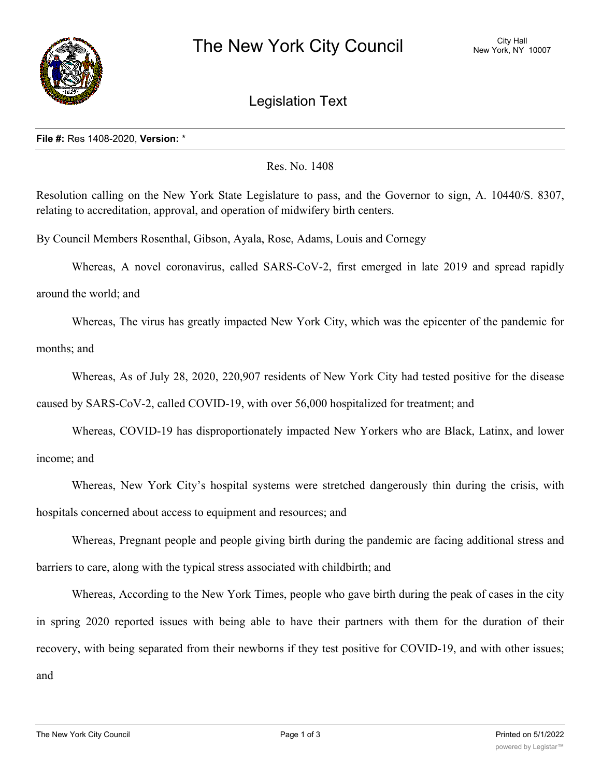

## Legislation Text

## **File #:** Res 1408-2020, **Version:** \*

## Res. No. 1408

Resolution calling on the New York State Legislature to pass, and the Governor to sign, A. 10440/S. 8307, relating to accreditation, approval, and operation of midwifery birth centers.

By Council Members Rosenthal, Gibson, Ayala, Rose, Adams, Louis and Cornegy

Whereas, A novel coronavirus, called SARS-CoV-2, first emerged in late 2019 and spread rapidly

around the world; and

Whereas, The virus has greatly impacted New York City, which was the epicenter of the pandemic for months; and

Whereas, As of July 28, 2020, 220,907 residents of New York City had tested positive for the disease

caused by SARS-CoV-2, called COVID-19, with over 56,000 hospitalized for treatment; and

Whereas, COVID-19 has disproportionately impacted New Yorkers who are Black, Latinx, and lower income; and

Whereas, New York City's hospital systems were stretched dangerously thin during the crisis, with hospitals concerned about access to equipment and resources; and

Whereas, Pregnant people and people giving birth during the pandemic are facing additional stress and barriers to care, along with the typical stress associated with childbirth; and

Whereas, According to the New York Times, people who gave birth during the peak of cases in the city in spring 2020 reported issues with being able to have their partners with them for the duration of their recovery, with being separated from their newborns if they test positive for COVID-19, and with other issues; and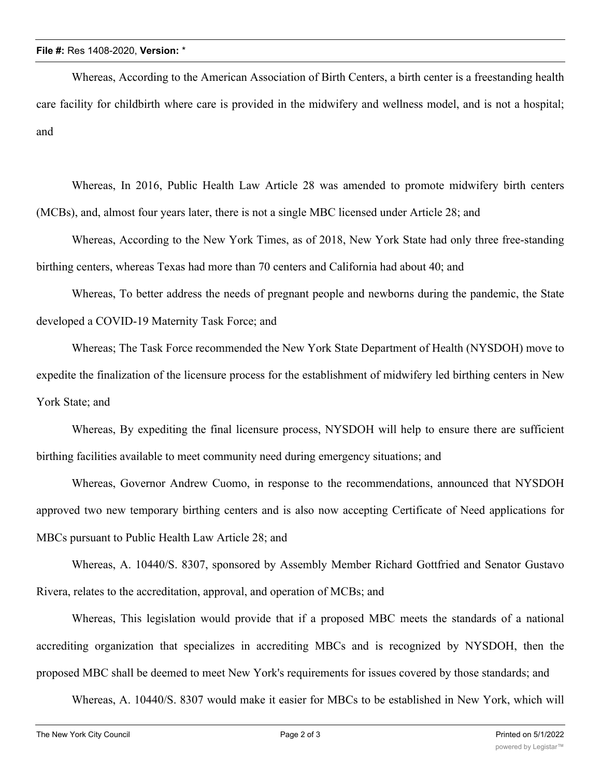Whereas, According to the American Association of Birth Centers, a birth center is a freestanding health care facility for childbirth where care is provided in the midwifery and wellness model, and is not a hospital; and

Whereas, In 2016, Public Health Law Article 28 was amended to promote midwifery birth centers (MCBs), and, almost four years later, there is not a single MBC licensed under Article 28; and

Whereas, According to the New York Times, as of 2018, New York State had only three free-standing birthing centers, whereas Texas had more than 70 centers and California had about 40; and

Whereas, To better address the needs of pregnant people and newborns during the pandemic, the State developed a COVID-19 Maternity Task Force; and

Whereas; The Task Force recommended the New York State Department of Health (NYSDOH) move to expedite the finalization of the licensure process for the establishment of midwifery led birthing centers in New York State; and

Whereas, By expediting the final licensure process, NYSDOH will help to ensure there are sufficient birthing facilities available to meet community need during emergency situations; and

Whereas, Governor Andrew Cuomo, in response to the recommendations, announced that NYSDOH approved two new temporary birthing centers and is also now accepting Certificate of Need applications for MBCs pursuant to Public Health Law Article 28; and

Whereas, A. 10440/S. 8307, sponsored by Assembly Member Richard Gottfried and Senator Gustavo Rivera, relates to the accreditation, approval, and operation of MCBs; and

Whereas, This legislation would provide that if a proposed MBC meets the standards of a national accrediting organization that specializes in accrediting MBCs and is recognized by NYSDOH, then the proposed MBC shall be deemed to meet New York's requirements for issues covered by those standards; and

Whereas, A. 10440/S. 8307 would make it easier for MBCs to be established in New York, which will